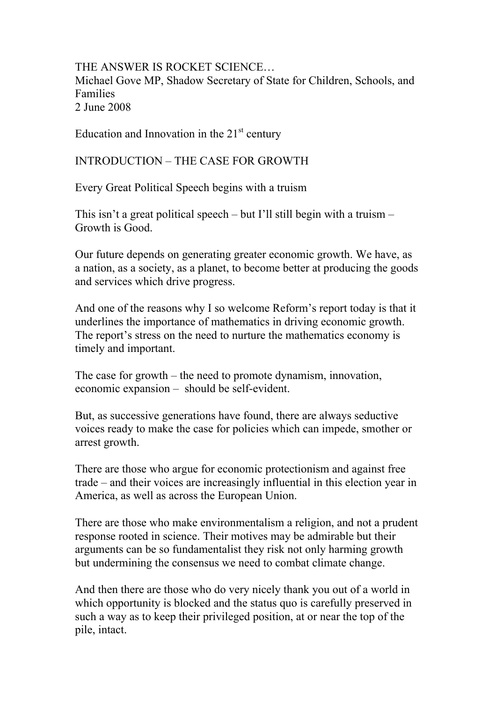THE ANSWER IS ROCKET SCIENCE… Michael Gove MP, Shadow Secretary of State for Children, Schools, and Families 2 June 2008

Education and Innovation in the  $21<sup>st</sup>$  century

INTRODUCTION – THE CASE FOR GROWTH

Every Great Political Speech begins with a truism

This isn't a great political speech – but I'll still begin with a truism – Growth is Good.

Our future depends on generating greater economic growth. We have, as a nation, as a society, as a planet, to become better at producing the goods and services which drive progress.

And one of the reasons why I so welcome Reform's report today is that it underlines the importance of mathematics in driving economic growth. The report's stress on the need to nurture the mathematics economy is timely and important.

The case for growth – the need to promote dynamism, innovation, economic expansion – should be self-evident.

But, as successive generations have found, there are always seductive voices ready to make the case for policies which can impede, smother or arrest growth.

There are those who argue for economic protectionism and against free trade – and their voices are increasingly influential in this election year in America, as well as across the European Union.

There are those who make environmentalism a religion, and not a prudent response rooted in science. Their motives may be admirable but their arguments can be so fundamentalist they risk not only harming growth but undermining the consensus we need to combat climate change.

And then there are those who do very nicely thank you out of a world in which opportunity is blocked and the status quo is carefully preserved in such a way as to keep their privileged position, at or near the top of the pile, intact.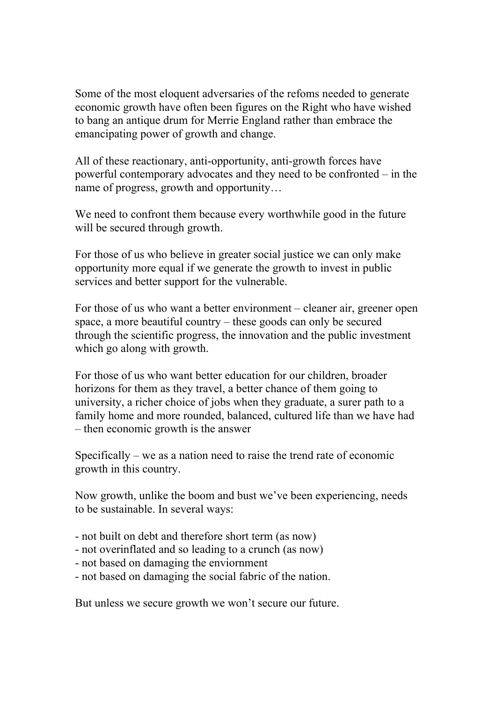Some of the most eloquent adversaries of the refoms needed to generate economic growth have often been figures on the Right who have wished to bang an antique drum for Merrie England rather than embrace the emancipating power of growth and change.

All of these reactionary, anti-opportunity, anti-growth forces have powerful contemporary advocates and they need to be confronted – in the name of progress, growth and opportunity…

We need to confront them because every worthwhile good in the future will be secured through growth.

For those of us who believe in greater social justice we can only make opportunity more equal if we generate the growth to invest in public services and better support for the vulnerable.

For those of us who want a better environment – cleaner air, greener open space, a more beautiful country – these goods can only be secured through the scientific progress, the innovation and the public investment which go along with growth.

For those of us who want better education for our children, broader horizons for them as they travel, a better chance of them going to university, a richer choice of jobs when they graduate, a surer path to a family home and more rounded, balanced, cultured life than we have had – then economic growth is the answer

Specifically – we as a nation need to raise the trend rate of economic growth in this country.

Now growth, unlike the boom and bust we've been experiencing, needs to be sustainable. In several ways:

- not built on debt and therefore short term (as now)
- not overinflated and so leading to a crunch (as now)
- not based on damaging the enviornment
- not based on damaging the social fabric of the nation.

But unless we secure growth we won't secure our future.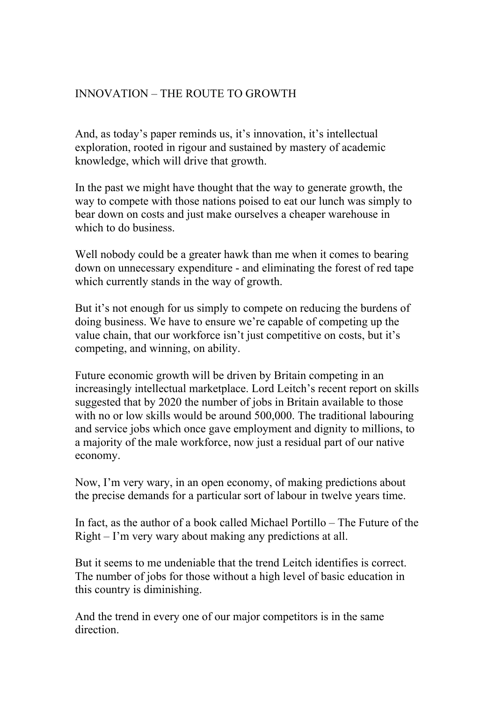## INNOVATION – THE ROUTE TO GROWTH

And, as today's paper reminds us, it's innovation, it's intellectual exploration, rooted in rigour and sustained by mastery of academic knowledge, which will drive that growth.

In the past we might have thought that the way to generate growth, the way to compete with those nations poised to eat our lunch was simply to bear down on costs and just make ourselves a cheaper warehouse in which to do business.

Well nobody could be a greater hawk than me when it comes to bearing down on unnecessary expenditure - and eliminating the forest of red tape which currently stands in the way of growth.

But it's not enough for us simply to compete on reducing the burdens of doing business. We have to ensure we're capable of competing up the value chain, that our workforce isn't just competitive on costs, but it's competing, and winning, on ability.

Future economic growth will be driven by Britain competing in an increasingly intellectual marketplace. Lord Leitch's recent report on skills suggested that by 2020 the number of jobs in Britain available to those with no or low skills would be around 500,000. The traditional labouring and service jobs which once gave employment and dignity to millions, to a majority of the male workforce, now just a residual part of our native economy.

Now, I'm very wary, in an open economy, of making predictions about the precise demands for a particular sort of labour in twelve years time.

In fact, as the author of a book called Michael Portillo – The Future of the Right – I'm very wary about making any predictions at all.

But it seems to me undeniable that the trend Leitch identifies is correct. The number of jobs for those without a high level of basic education in this country is diminishing.

And the trend in every one of our major competitors is in the same direction.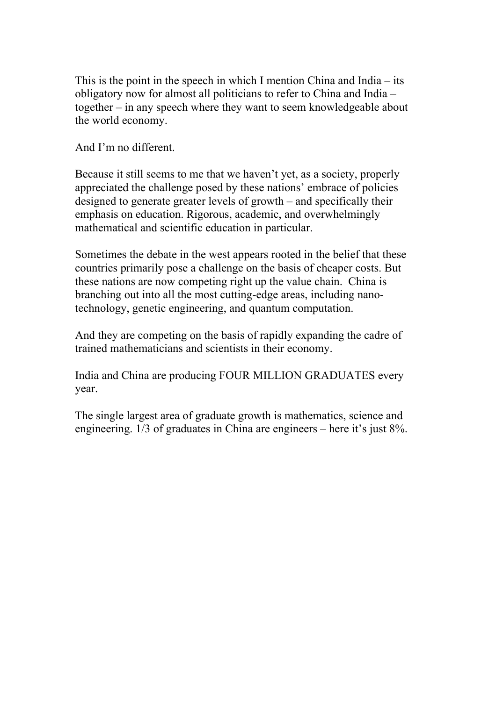This is the point in the speech in which I mention China and India – its obligatory now for almost all politicians to refer to China and India – together – in any speech where they want to seem knowledgeable about the world economy.

And I'm no different.

Because it still seems to me that we haven't yet, as a society, properly appreciated the challenge posed by these nations' embrace of policies designed to generate greater levels of growth – and specifically their emphasis on education. Rigorous, academic, and overwhelmingly mathematical and scientific education in particular.

Sometimes the debate in the west appears rooted in the belief that these countries primarily pose a challenge on the basis of cheaper costs. But these nations are now competing right up the value chain. China is branching out into all the most cutting-edge areas, including nanotechnology, genetic engineering, and quantum computation.

And they are competing on the basis of rapidly expanding the cadre of trained mathematicians and scientists in their economy.

India and China are producing FOUR MILLION GRADUATES every year.

The single largest area of graduate growth is mathematics, science and engineering. 1/3 of graduates in China are engineers – here it's just 8%.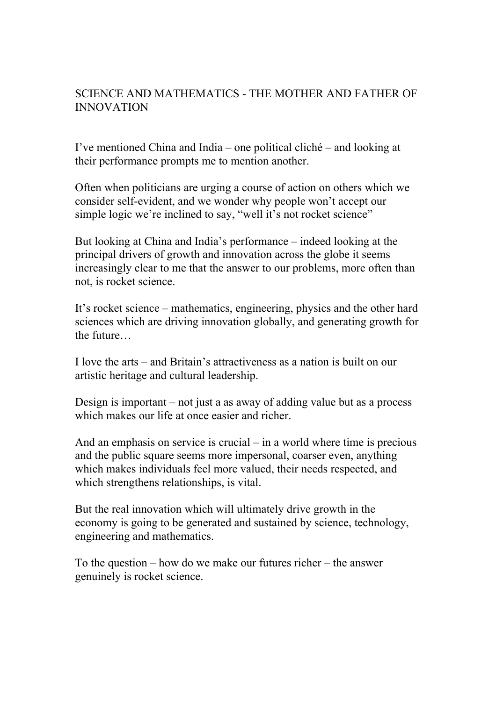## SCIENCE AND MATHEMATICS - THE MOTHER AND FATHER OF INNOVATION

I've mentioned China and India – one political cliché – and looking at their performance prompts me to mention another.

Often when politicians are urging a course of action on others which we consider self-evident, and we wonder why people won't accept our simple logic we're inclined to say, "well it's not rocket science"

But looking at China and India's performance – indeed looking at the principal drivers of growth and innovation across the globe it seems increasingly clear to me that the answer to our problems, more often than not, is rocket science.

It's rocket science – mathematics, engineering, physics and the other hard sciences which are driving innovation globally, and generating growth for the future…

I love the arts – and Britain's attractiveness as a nation is built on our artistic heritage and cultural leadership.

Design is important – not just a as away of adding value but as a process which makes our life at once easier and richer.

And an emphasis on service is crucial – in a world where time is precious and the public square seems more impersonal, coarser even, anything which makes individuals feel more valued, their needs respected, and which strengthens relationships, is vital.

But the real innovation which will ultimately drive growth in the economy is going to be generated and sustained by science, technology, engineering and mathematics.

To the question – how do we make our futures richer – the answer genuinely is rocket science.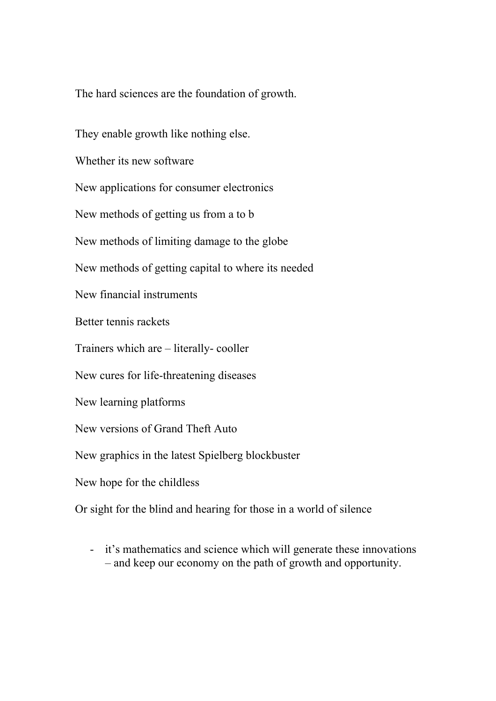The hard sciences are the foundation of growth.

They enable growth like nothing else. Whether its new software New applications for consumer electronics New methods of getting us from a to b New methods of limiting damage to the globe New methods of getting capital to where its needed New financial instruments Better tennis rackets Trainers which are – literally- cooller New cures for life-threatening diseases New learning platforms New versions of Grand Theft Auto New graphics in the latest Spielberg blockbuster New hope for the childless

Or sight for the blind and hearing for those in a world of silence

- it's mathematics and science which will generate these innovations – and keep our economy on the path of growth and opportunity.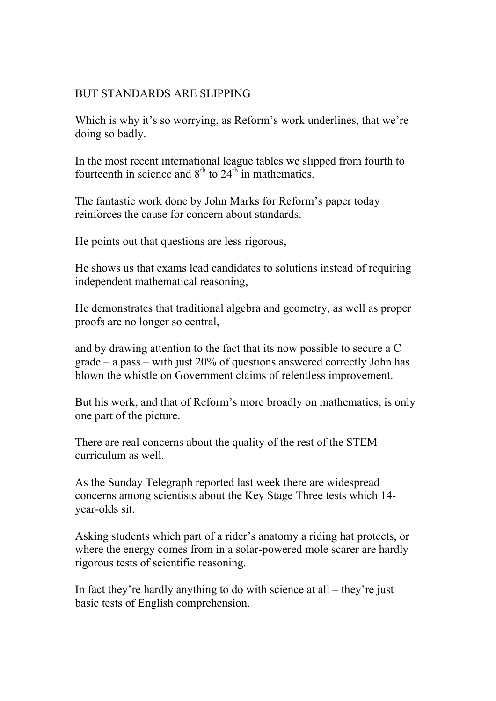#### BUT STANDARDS ARE SLIPPING

Which is why it's so worrying, as Reform's work underlines, that we're doing so badly.

In the most recent international league tables we slipped from fourth to fourteenth in science and  $8<sup>th</sup>$  to  $24<sup>th</sup>$  in mathematics.

The fantastic work done by John Marks for Reform's paper today reinforces the cause for concern about standards.

He points out that questions are less rigorous,

He shows us that exams lead candidates to solutions instead of requiring independent mathematical reasoning,

He demonstrates that traditional algebra and geometry, as well as proper proofs are no longer so central,

and by drawing attention to the fact that its now possible to secure a C grade – a pass – with just 20% of questions answered correctly John has blown the whistle on Government claims of relentless improvement.

But his work, and that of Reform's more broadly on mathematics, is only one part of the picture.

There are real concerns about the quality of the rest of the STEM curriculum as well.

As the Sunday Telegraph reported last week there are widespread concerns among scientists about the Key Stage Three tests which 14 year-olds sit.

Asking students which part of a rider's anatomy a riding hat protects, or where the energy comes from in a solar-powered mole scarer are hardly rigorous tests of scientific reasoning.

In fact they're hardly anything to do with science at all – they're just basic tests of English comprehension.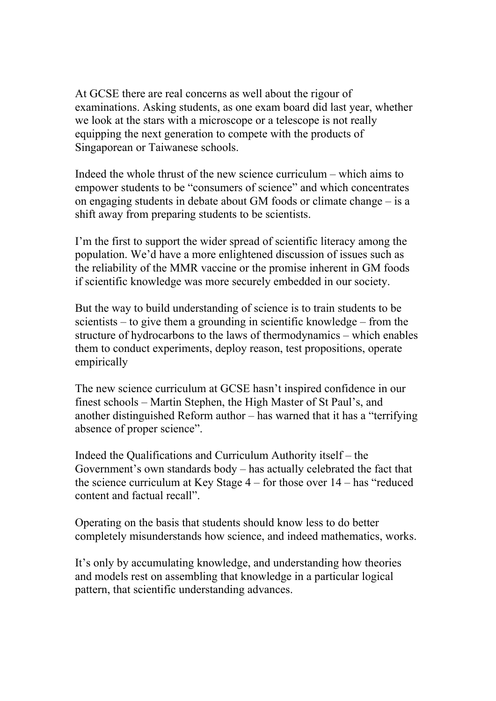At GCSE there are real concerns as well about the rigour of examinations. Asking students, as one exam board did last year, whether we look at the stars with a microscope or a telescope is not really equipping the next generation to compete with the products of Singaporean or Taiwanese schools.

Indeed the whole thrust of the new science curriculum – which aims to empower students to be "consumers of science" and which concentrates on engaging students in debate about GM foods or climate change – is a shift away from preparing students to be scientists.

I'm the first to support the wider spread of scientific literacy among the population. We'd have a more enlightened discussion of issues such as the reliability of the MMR vaccine or the promise inherent in GM foods if scientific knowledge was more securely embedded in our society.

But the way to build understanding of science is to train students to be scientists – to give them a grounding in scientific knowledge – from the structure of hydrocarbons to the laws of thermodynamics – which enables them to conduct experiments, deploy reason, test propositions, operate empirically

The new science curriculum at GCSE hasn't inspired confidence in our finest schools – Martin Stephen, the High Master of St Paul's, and another distinguished Reform author – has warned that it has a "terrifying absence of proper science".

Indeed the Qualifications and Curriculum Authority itself – the Government's own standards body – has actually celebrated the fact that the science curriculum at Key Stage 4 – for those over 14 – has "reduced content and factual recall".

Operating on the basis that students should know less to do better completely misunderstands how science, and indeed mathematics, works.

It's only by accumulating knowledge, and understanding how theories and models rest on assembling that knowledge in a particular logical pattern, that scientific understanding advances.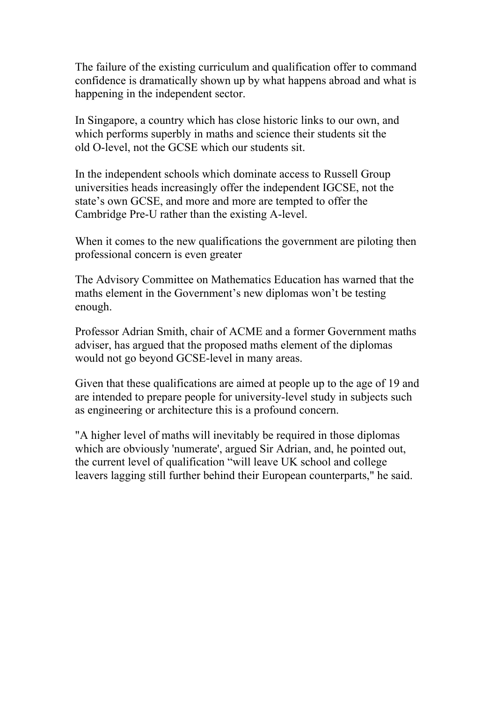The failure of the existing curriculum and qualification offer to command confidence is dramatically shown up by what happens abroad and what is happening in the independent sector.

In Singapore, a country which has close historic links to our own, and which performs superbly in maths and science their students sit the old O-level, not the GCSE which our students sit.

In the independent schools which dominate access to Russell Group universities heads increasingly offer the independent IGCSE, not the state's own GCSE, and more and more are tempted to offer the Cambridge Pre-U rather than the existing A-level.

When it comes to the new qualifications the government are piloting then professional concern is even greater

The Advisory Committee on Mathematics Education has warned that the maths element in the Government's new diplomas won't be testing enough.

Professor Adrian Smith, chair of ACME and a former Government maths adviser, has argued that the proposed maths element of the diplomas would not go beyond GCSE-level in many areas.

Given that these qualifications are aimed at people up to the age of 19 and are intended to prepare people for university-level study in subjects such as engineering or architecture this is a profound concern.

"A higher level of maths will inevitably be required in those diplomas which are obviously 'numerate', argued Sir Adrian, and, he pointed out, the current level of qualification "will leave UK school and college leavers lagging still further behind their European counterparts," he said.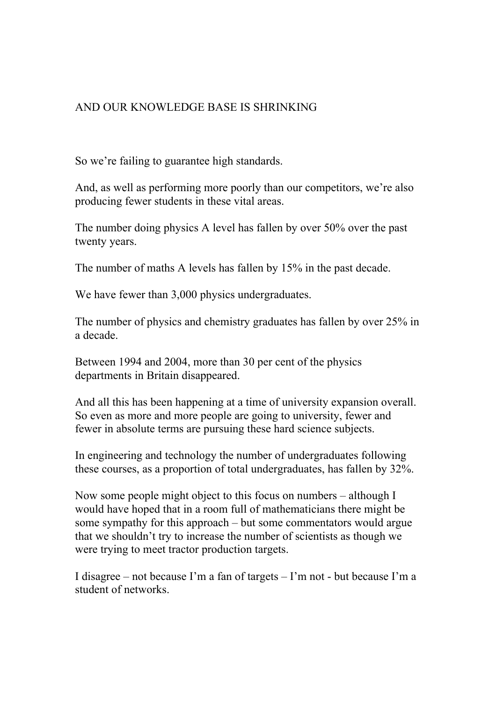## AND OUR KNOWLEDGE BASE IS SHRINKING

So we're failing to guarantee high standards.

And, as well as performing more poorly than our competitors, we're also producing fewer students in these vital areas.

The number doing physics A level has fallen by over 50% over the past twenty years.

The number of maths A levels has fallen by 15% in the past decade.

We have fewer than 3,000 physics undergraduates.

The number of physics and chemistry graduates has fallen by over 25% in a decade.

Between 1994 and 2004, more than 30 per cent of the physics departments in Britain disappeared.

And all this has been happening at a time of university expansion overall. So even as more and more people are going to university, fewer and fewer in absolute terms are pursuing these hard science subjects.

In engineering and technology the number of undergraduates following these courses, as a proportion of total undergraduates, has fallen by 32%.

Now some people might object to this focus on numbers – although I would have hoped that in a room full of mathematicians there might be some sympathy for this approach – but some commentators would argue that we shouldn't try to increase the number of scientists as though we were trying to meet tractor production targets.

I disagree – not because I'm a fan of targets – I'm not - but because I'm a student of networks.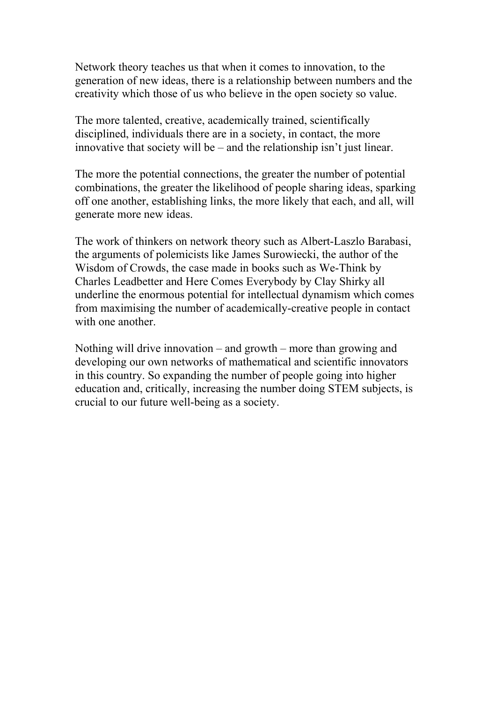Network theory teaches us that when it comes to innovation, to the generation of new ideas, there is a relationship between numbers and the creativity which those of us who believe in the open society so value.

The more talented, creative, academically trained, scientifically disciplined, individuals there are in a society, in contact, the more innovative that society will be – and the relationship isn't just linear.

The more the potential connections, the greater the number of potential combinations, the greater the likelihood of people sharing ideas, sparking off one another, establishing links, the more likely that each, and all, will generate more new ideas.

The work of thinkers on network theory such as Albert-Laszlo Barabasi, the arguments of polemicists like James Surowiecki, the author of the Wisdom of Crowds, the case made in books such as We-Think by Charles Leadbetter and Here Comes Everybody by Clay Shirky all underline the enormous potential for intellectual dynamism which comes from maximising the number of academically-creative people in contact with one another.

Nothing will drive innovation – and growth – more than growing and developing our own networks of mathematical and scientific innovators in this country. So expanding the number of people going into higher education and, critically, increasing the number doing STEM subjects, is crucial to our future well-being as a society.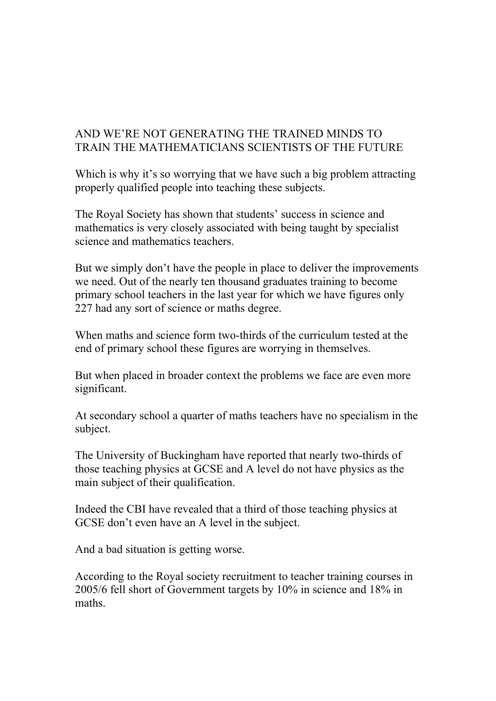## AND WE'RE NOT GENERATING THE TRAINED MINDS TO TRAIN THE MATHEMATICIANS SCIENTISTS OF THE FUTURE

Which is why it's so worrying that we have such a big problem attracting properly qualified people into teaching these subjects.

The Royal Society has shown that students' success in science and mathematics is very closely associated with being taught by specialist science and mathematics teachers.

But we simply don't have the people in place to deliver the improvements we need. Out of the nearly ten thousand graduates training to become primary school teachers in the last year for which we have figures only 227 had any sort of science or maths degree.

When maths and science form two-thirds of the curriculum tested at the end of primary school these figures are worrying in themselves.

But when placed in broader context the problems we face are even more significant.

At secondary school a quarter of maths teachers have no specialism in the subject.

The University of Buckingham have reported that nearly two-thirds of those teaching physics at GCSE and A level do not have physics as the main subject of their qualification.

Indeed the CBI have revealed that a third of those teaching physics at GCSE don't even have an A level in the subject.

And a bad situation is getting worse.

According to the Royal society recruitment to teacher training courses in 2005/6 fell short of Government targets by 10% in science and 18% in maths.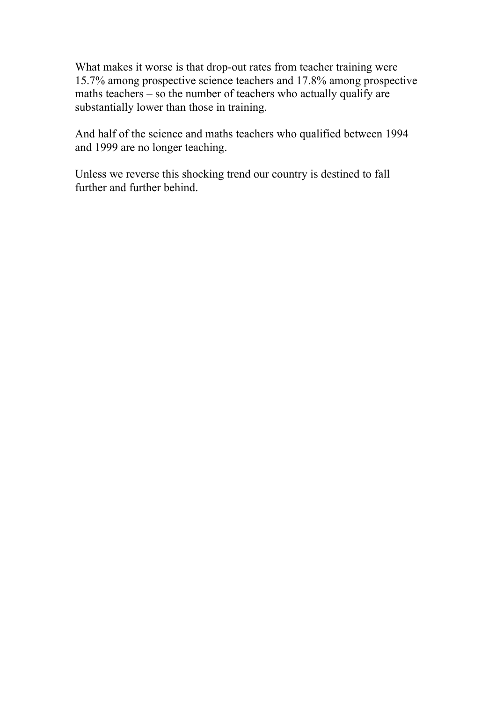What makes it worse is that drop-out rates from teacher training were 15.7% among prospective science teachers and 17.8% among prospective maths teachers – so the number of teachers who actually qualify are substantially lower than those in training.

And half of the science and maths teachers who qualified between 1994 and 1999 are no longer teaching.

Unless we reverse this shocking trend our country is destined to fall further and further behind.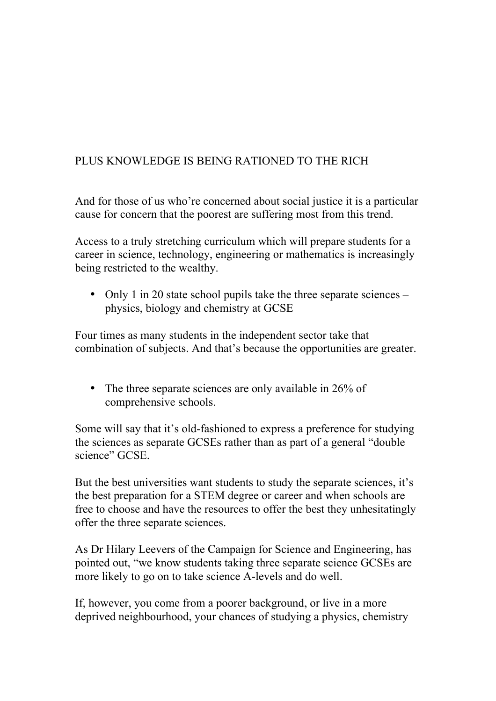# PLUS KNOWLEDGE IS BEING RATIONED TO THE RICH

And for those of us who're concerned about social justice it is a particular cause for concern that the poorest are suffering most from this trend.

Access to a truly stretching curriculum which will prepare students for a career in science, technology, engineering or mathematics is increasingly being restricted to the wealthy.

• Only 1 in 20 state school pupils take the three separate sciences – physics, biology and chemistry at GCSE

Four times as many students in the independent sector take that combination of subjects. And that's because the opportunities are greater.

• The three separate sciences are only available in 26% of comprehensive schools.

Some will say that it's old-fashioned to express a preference for studying the sciences as separate GCSEs rather than as part of a general "double science" GCSE

But the best universities want students to study the separate sciences, it's the best preparation for a STEM degree or career and when schools are free to choose and have the resources to offer the best they unhesitatingly offer the three separate sciences.

As Dr Hilary Leevers of the Campaign for Science and Engineering, has pointed out, "we know students taking three separate science GCSEs are more likely to go on to take science A-levels and do well.

If, however, you come from a poorer background, or live in a more deprived neighbourhood, your chances of studying a physics, chemistry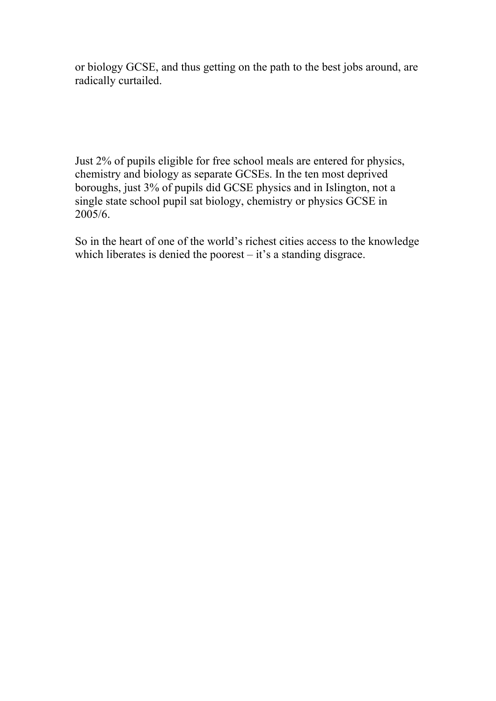or biology GCSE, and thus getting on the path to the best jobs around, are radically curtailed.

Just 2% of pupils eligible for free school meals are entered for physics, chemistry and biology as separate GCSEs. In the ten most deprived boroughs, just 3% of pupils did GCSE physics and in Islington, not a single state school pupil sat biology, chemistry or physics GCSE in 2005/6.

So in the heart of one of the world's richest cities access to the knowledge which liberates is denied the poorest – it's a standing disgrace.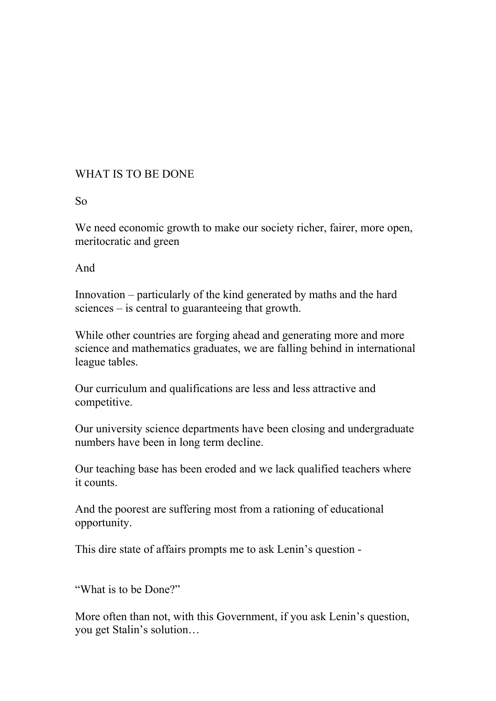#### WHAT IS TO BE DONE

#### So

We need economic growth to make our society richer, fairer, more open, meritocratic and green

And

Innovation – particularly of the kind generated by maths and the hard sciences – is central to guaranteeing that growth.

While other countries are forging ahead and generating more and more science and mathematics graduates, we are falling behind in international league tables.

Our curriculum and qualifications are less and less attractive and competitive.

Our university science departments have been closing and undergraduate numbers have been in long term decline.

Our teaching base has been eroded and we lack qualified teachers where it counts.

And the poorest are suffering most from a rationing of educational opportunity.

This dire state of affairs prompts me to ask Lenin's question -

"What is to be Done?"

More often than not, with this Government, if you ask Lenin's question, you get Stalin's solution…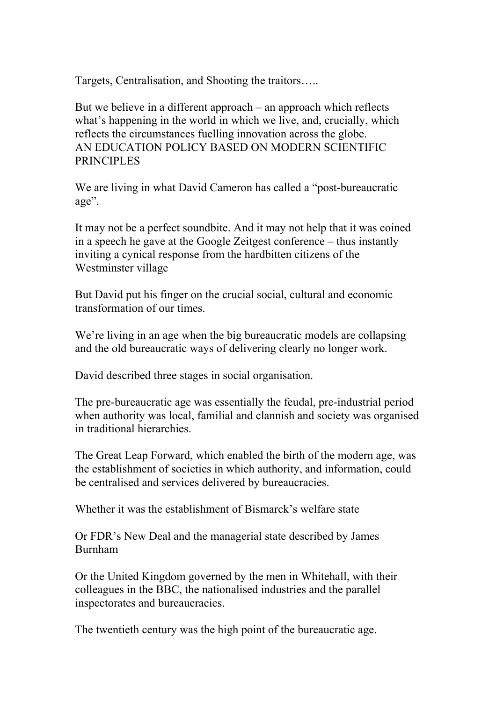Targets, Centralisation, and Shooting the traitors…..

But we believe in a different approach – an approach which reflects what's happening in the world in which we live, and, crucially, which reflects the circumstances fuelling innovation across the globe. AN EDUCATION POLICY BASED ON MODERN SCIENTIFIC PRINCIPLES

We are living in what David Cameron has called a "post-bureaucratic" age".

It may not be a perfect soundbite. And it may not help that it was coined in a speech he gave at the Google Zeitgest conference – thus instantly inviting a cynical response from the hardbitten citizens of the Westminster village

But David put his finger on the crucial social, cultural and economic transformation of our times.

We're living in an age when the big bureaucratic models are collapsing and the old bureaucratic ways of delivering clearly no longer work.

David described three stages in social organisation.

The pre-bureaucratic age was essentially the feudal, pre-industrial period when authority was local, familial and clannish and society was organised in traditional hierarchies.

The Great Leap Forward, which enabled the birth of the modern age, was the establishment of societies in which authority, and information, could be centralised and services delivered by bureaucracies.

Whether it was the establishment of Bismarck's welfare state

Or FDR's New Deal and the managerial state described by James Burnham

Or the United Kingdom governed by the men in Whitehall, with their colleagues in the BBC, the nationalised industries and the parallel inspectorates and bureaucracies.

The twentieth century was the high point of the bureaucratic age.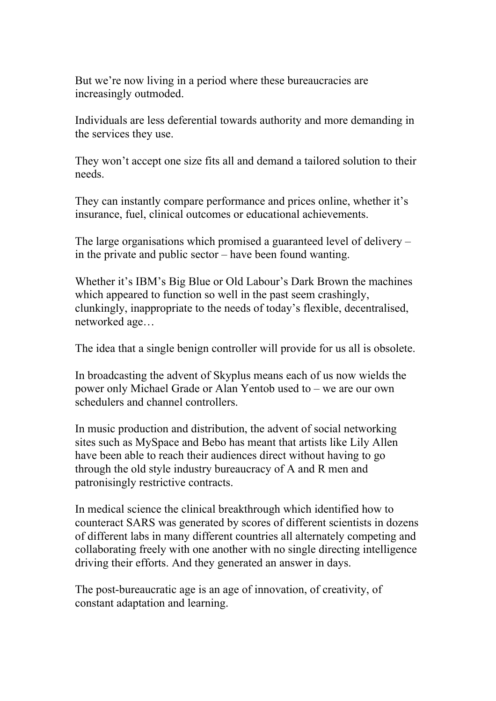But we're now living in a period where these bureaucracies are increasingly outmoded.

Individuals are less deferential towards authority and more demanding in the services they use.

They won't accept one size fits all and demand a tailored solution to their needs.

They can instantly compare performance and prices online, whether it's insurance, fuel, clinical outcomes or educational achievements.

The large organisations which promised a guaranteed level of delivery – in the private and public sector – have been found wanting.

Whether it's IBM's Big Blue or Old Labour's Dark Brown the machines which appeared to function so well in the past seem crashingly, clunkingly, inappropriate to the needs of today's flexible, decentralised, networked age…

The idea that a single benign controller will provide for us all is obsolete.

In broadcasting the advent of Skyplus means each of us now wields the power only Michael Grade or Alan Yentob used to – we are our own schedulers and channel controllers.

In music production and distribution, the advent of social networking sites such as MySpace and Bebo has meant that artists like Lily Allen have been able to reach their audiences direct without having to go through the old style industry bureaucracy of A and R men and patronisingly restrictive contracts.

In medical science the clinical breakthrough which identified how to counteract SARS was generated by scores of different scientists in dozens of different labs in many different countries all alternately competing and collaborating freely with one another with no single directing intelligence driving their efforts. And they generated an answer in days.

The post-bureaucratic age is an age of innovation, of creativity, of constant adaptation and learning.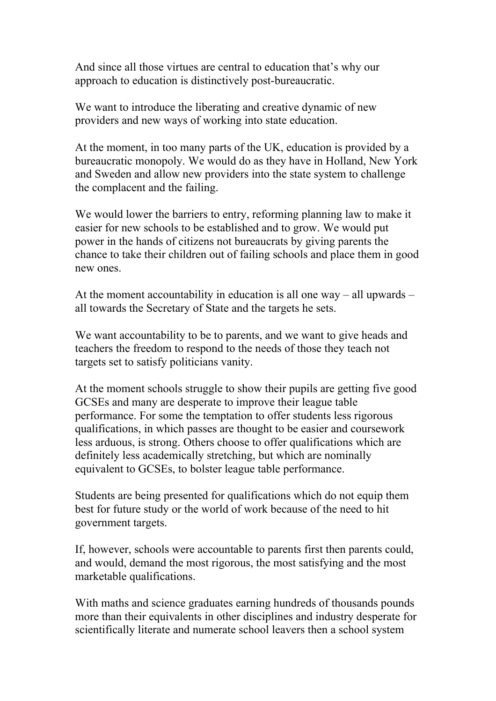And since all those virtues are central to education that's why our approach to education is distinctively post-bureaucratic.

We want to introduce the liberating and creative dynamic of new providers and new ways of working into state education.

At the moment, in too many parts of the UK, education is provided by a bureaucratic monopoly. We would do as they have in Holland, New York and Sweden and allow new providers into the state system to challenge the complacent and the failing.

We would lower the barriers to entry, reforming planning law to make it easier for new schools to be established and to grow. We would put power in the hands of citizens not bureaucrats by giving parents the chance to take their children out of failing schools and place them in good new ones.

At the moment accountability in education is all one way – all upwards – all towards the Secretary of State and the targets he sets.

We want accountability to be to parents, and we want to give heads and teachers the freedom to respond to the needs of those they teach not targets set to satisfy politicians vanity.

At the moment schools struggle to show their pupils are getting five good GCSEs and many are desperate to improve their league table performance. For some the temptation to offer students less rigorous qualifications, in which passes are thought to be easier and coursework less arduous, is strong. Others choose to offer qualifications which are definitely less academically stretching, but which are nominally equivalent to GCSEs, to bolster league table performance.

Students are being presented for qualifications which do not equip them best for future study or the world of work because of the need to hit government targets.

If, however, schools were accountable to parents first then parents could, and would, demand the most rigorous, the most satisfying and the most marketable qualifications.

With maths and science graduates earning hundreds of thousands pounds more than their equivalents in other disciplines and industry desperate for scientifically literate and numerate school leavers then a school system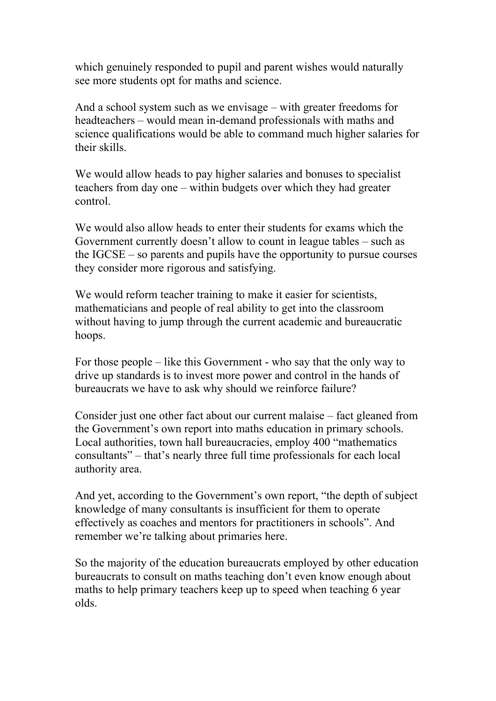which genuinely responded to pupil and parent wishes would naturally see more students opt for maths and science.

And a school system such as we envisage – with greater freedoms for headteachers – would mean in-demand professionals with maths and science qualifications would be able to command much higher salaries for their skills.

We would allow heads to pay higher salaries and bonuses to specialist teachers from day one – within budgets over which they had greater control.

We would also allow heads to enter their students for exams which the Government currently doesn't allow to count in league tables – such as the IGCSE – so parents and pupils have the opportunity to pursue courses they consider more rigorous and satisfying.

We would reform teacher training to make it easier for scientists, mathematicians and people of real ability to get into the classroom without having to jump through the current academic and bureaucratic hoops.

For those people – like this Government - who say that the only way to drive up standards is to invest more power and control in the hands of bureaucrats we have to ask why should we reinforce failure?

Consider just one other fact about our current malaise – fact gleaned from the Government's own report into maths education in primary schools. Local authorities, town hall bureaucracies, employ 400 "mathematics consultants" – that's nearly three full time professionals for each local authority area.

And yet, according to the Government's own report, "the depth of subject knowledge of many consultants is insufficient for them to operate effectively as coaches and mentors for practitioners in schools". And remember we're talking about primaries here.

So the majority of the education bureaucrats employed by other education bureaucrats to consult on maths teaching don't even know enough about maths to help primary teachers keep up to speed when teaching 6 year olds.